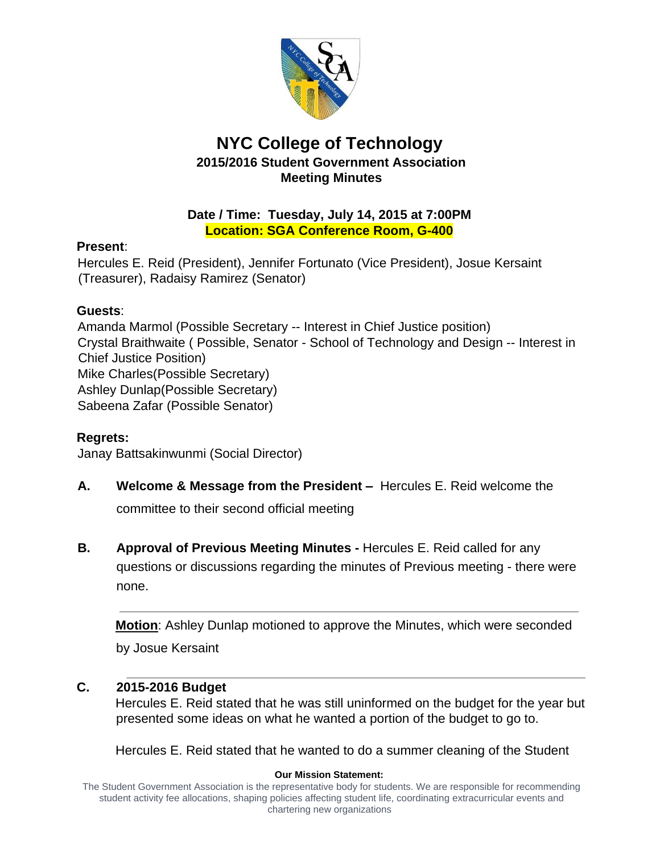

## **NYC College of Technology 2015/2016 Student Government Association Meeting Minutes**

#### **Date / Time: Tuesday, July 14, 2015 at 7:00PM Location: SGA Conference Room, G-400**

### **Present**:

Hercules E. Reid (President), Jennifer Fortunato (Vice President), Josue Kersaint (Treasurer), Radaisy Ramirez (Senator)

## **Guests**:

Amanda Marmol (Possible Secretary -- Interest in Chief Justice position) Crystal Braithwaite ( Possible, Senator - School of Technology and Design -- Interest in Chief Justice Position) Mike Charles(Possible Secretary) Ashley Dunlap(Possible Secretary) Sabeena Zafar (Possible Senator)

## **Regrets:**

Janay Battsakinwunmi (Social Director)

- **A. Welcome & Message from the President –** Hercules E. Reid welcome the committee to their second official meeting
- **B. Approval of Previous Meeting Minutes** Hercules E. Reid called for any questions or discussions regarding the minutes of Previous meeting - there were none.

**Motion**: Ashley Dunlap motioned to approve the Minutes, which were seconded by Josue Kersaint

### **C. 2015-2016 Budget**

Hercules E. Reid stated that he was still uninformed on the budget for the year but presented some ideas on what he wanted a portion of the budget to go to.

Hercules E. Reid stated that he wanted to do a summer cleaning of the Student

#### **Our Mission Statement:**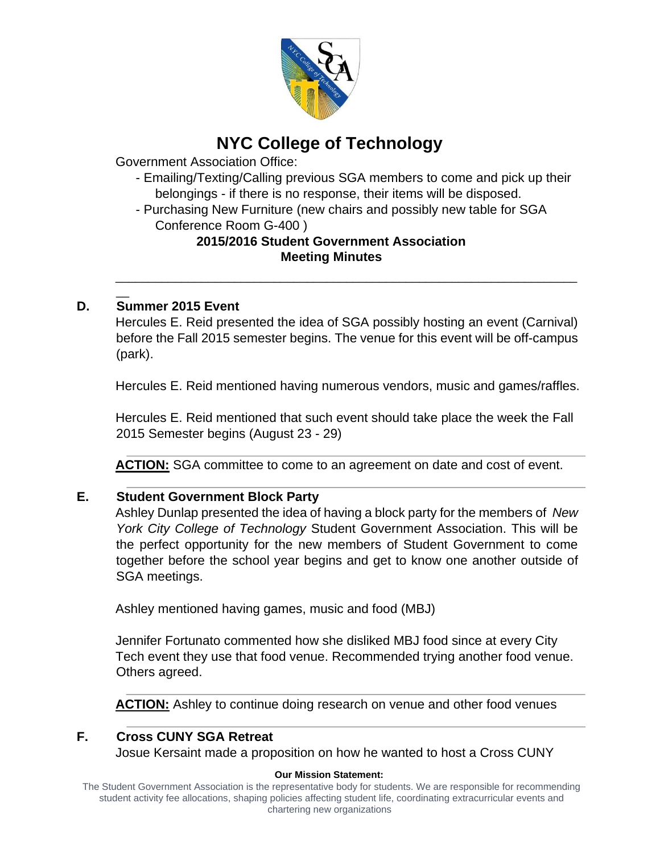

# **NYC College of Technology**

Government Association Office:

- Emailing/Texting/Calling previous SGA members to come and pick up their belongings - if there is no response, their items will be disposed.
- Purchasing New Furniture (new chairs and possibly new table for SGA Conference Room G-400 )

#### **2015/2016 Student Government Association Meeting Minutes**

### **D. Summer 2015 Event**

 $\overline{\phantom{a}}$ 

Hercules E. Reid presented the idea of SGA possibly hosting an event (Carnival) before the Fall 2015 semester begins. The venue for this event will be off-campus (park).

\_\_\_\_\_\_\_\_\_\_\_\_\_\_\_\_\_\_\_\_\_\_\_\_\_\_\_\_\_\_\_\_\_\_\_\_\_\_\_\_\_\_\_\_\_\_\_\_\_\_\_\_\_\_\_\_\_\_\_\_\_\_\_\_\_\_\_\_\_\_

Hercules E. Reid mentioned having numerous vendors, music and games/raffles.

Hercules E. Reid mentioned that such event should take place the week the Fall 2015 Semester begins (August 23 - 29)

**ACTION:** SGA committee to come to an agreement on date and cost of event.

#### **E. Student Government Block Party**

Ashley Dunlap presented the idea of having a block party for the members of *New York City College of Technology* Student Government Association. This will be the perfect opportunity for the new members of Student Government to come together before the school year begins and get to know one another outside of SGA meetings.

Ashley mentioned having games, music and food (MBJ)

Jennifer Fortunato commented how she disliked MBJ food since at every City Tech event they use that food venue. Recommended trying another food venue. Others agreed.

**ACTION:** Ashley to continue doing research on venue and other food venues

### **F. Cross CUNY SGA Retreat**

Josue Kersaint made a proposition on how he wanted to host a Cross CUNY

#### **Our Mission Statement:**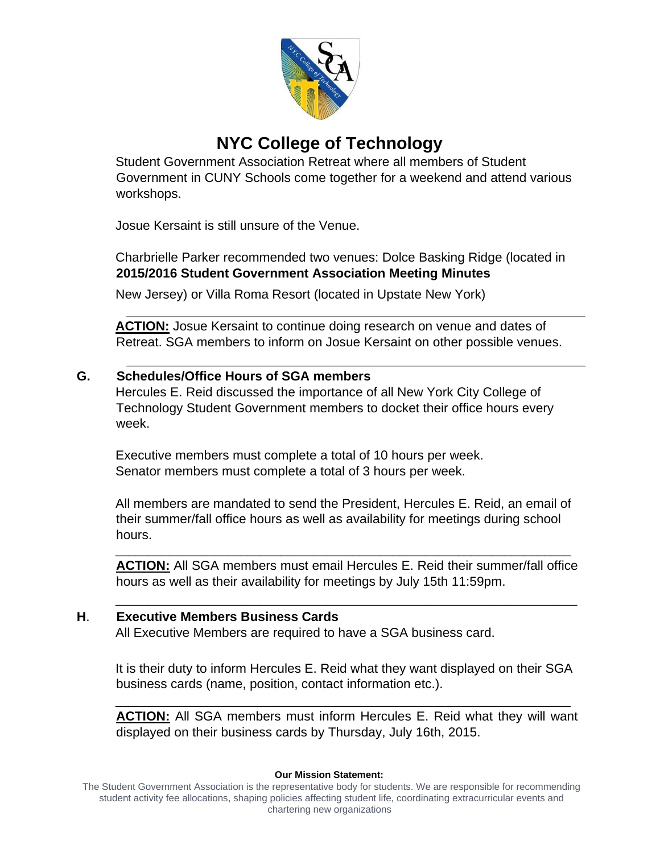

# **NYC College of Technology**

Student Government Association Retreat where all members of Student Government in CUNY Schools come together for a weekend and attend various workshops.

Josue Kersaint is still unsure of the Venue.

Charbrielle Parker recommended two venues: Dolce Basking Ridge (located in **2015/2016 Student Government Association Meeting Minutes**

New Jersey) or Villa Roma Resort (located in Upstate New York)

**ACTION:** Josue Kersaint to continue doing research on venue and dates of Retreat. SGA members to inform on Josue Kersaint on other possible venues.

#### **G. Schedules/Office Hours of SGA members**

Hercules E. Reid discussed the importance of all New York City College of Technology Student Government members to docket their office hours every week.

Executive members must complete a total of 10 hours per week. Senator members must complete a total of 3 hours per week.

All members are mandated to send the President, Hercules E. Reid, an email of their summer/fall office hours as well as availability for meetings during school hours.

\_\_\_\_\_\_\_\_\_\_\_\_\_\_\_\_\_\_\_\_\_\_\_\_\_\_\_\_\_\_\_\_\_\_\_\_\_\_\_\_\_\_\_\_\_\_\_\_\_\_\_\_\_\_\_\_\_\_\_\_\_\_\_\_\_\_\_\_\_

**ACTION:** All SGA members must email Hercules E. Reid their summer/fall office hours as well as their availability for meetings by July 15th 11:59pm.

\_\_\_\_\_\_\_\_\_\_\_\_\_\_\_\_\_\_\_\_\_\_\_\_\_\_\_\_\_\_\_\_\_\_\_\_\_\_\_\_\_\_\_\_\_\_\_\_\_\_\_\_\_\_\_\_\_\_\_\_\_\_\_\_\_\_\_\_\_\_

#### **H**. **Executive Members Business Cards**

All Executive Members are required to have a SGA business card.

It is their duty to inform Hercules E. Reid what they want displayed on their SGA business cards (name, position, contact information etc.).

\_\_\_\_\_\_\_\_\_\_\_\_\_\_\_\_\_\_\_\_\_\_\_\_\_\_\_\_\_\_\_\_\_\_\_\_\_\_\_\_\_\_\_\_\_\_\_\_\_\_\_\_\_\_\_\_\_\_\_\_\_\_\_\_\_\_\_\_\_

**ACTION:** All SGA members must inform Hercules E. Reid what they will want displayed on their business cards by Thursday, July 16th, 2015.

#### **Our Mission Statement:**